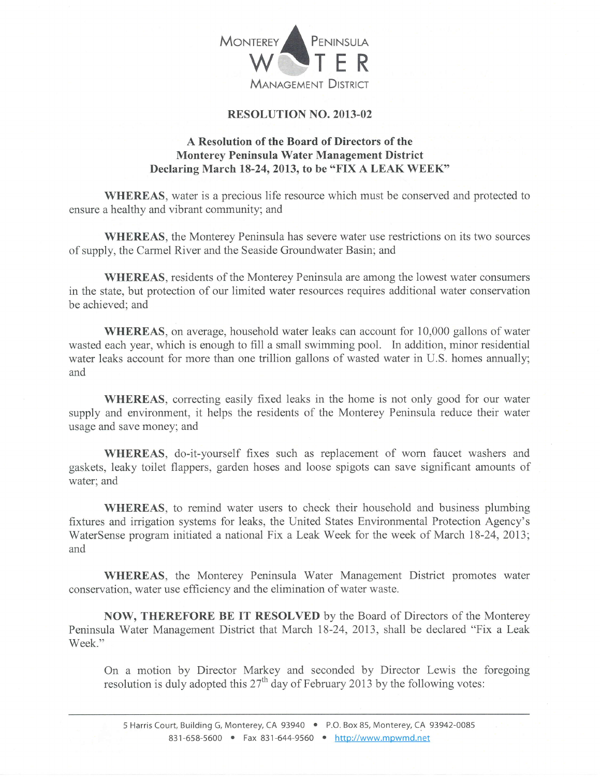

## RESOLUTION NO. 2OI3-02

## A Resolution of the Board of Directors of the Monterey Peninsula Water Management District Declaring March 18-24, 2013, to be "FIX A LEAK WEEK"

WHEREAS, water is a precious life resource which must be conserved and protected to ensure a healthy and vibrant community; and

WHEREAS, the Monterey Peninsula has severe water use restrictions on its two sources of supply, the Carmel River and the Seaside Groundwater Basin; and

WHEREAS, residents of the Monterey Peninsula are among the lowest water consumers in the state, but protection of our limited water resources requires additional water conservation be achieved; and

WHEREAS, on average, household water leaks can account for 10,000 gallons of water wasted each year, which is enough to fill a small swimming pool. In addition, minor residential water leaks account for more than one trillion gallons of wasted water in U.S. homes annually; and

WHEREAS, correcting easily fixed leaks in the home is not only good for our water supply and environment, it helps the residents of the Monterey Peninsula reduce their water usage and save money; and

WHEREAS, do-it-yourself fixes such as replacement of worn faucet washers and gaskets, leaky toilet flappers, garden hoses and loose spigots can save significant amounts of water; and

WHEREAS, to remind water users to check their household and business plumbing fixtures and irrigation systems for leaks, the United States Environmental Protection Agency's WaterSense program initiated a national Fix a Leak Week for the week of March 18-24, 2013; and

WHEREAS, the Monterey Peninsula Water Management District promotes water conservation, water use efficiency and the elimination of water waste.

NOW, THEREFORE BE IT RESOLVED by the Board of Directors of the Monterey Peninsula Water Management District that March 18-24, 2073, shall be declared "Fix a Leak Week."

On a motion by Director Markey and seconded by Director Lewis the foregoing resolution is duly adopted this  $27<sup>th</sup>$  day of February 2013 by the following votes: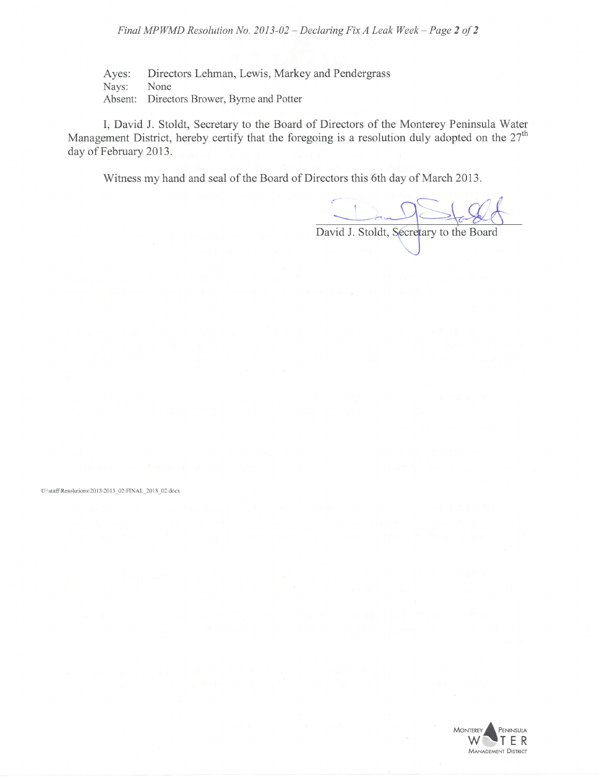Final MPWMD Resolution No. 2013-02 - Declaring Fix A Leak Week - Page 2 of 2

Ayes: Directors Lehman, Lewis, Markey and Pendergrass<br>Navs: None Nays: Absent: Directors Brower, Byrne and Potter

I, David J. Stoldt, Secretary to the Board of Directors of the Monterey Peninsula Water Management District, hereby certify that the foregoing is a resolution duly adopted on the 27<sup>th</sup> day of February 2013.

Witness my hand and seal of the Board of Directors this 6th day of March 2013.

David J. Stoldt, Secretary to the Board

U:\staff\Resolutions\2013\2013 02\FINAL 2013 02.docx